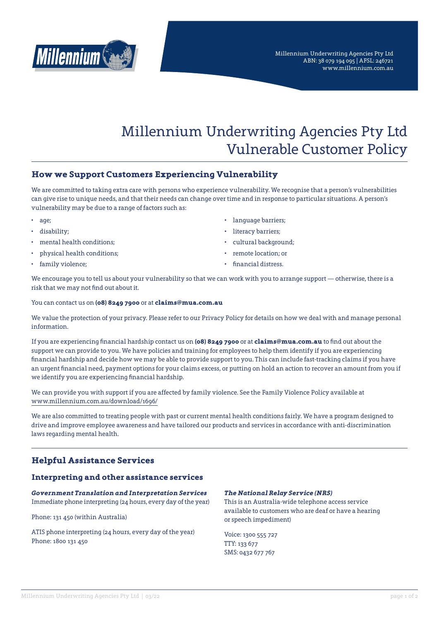

# Millennium Underwriting Agencies Pty Ltd Vulnerable Customer Policy

# **How we Support Customers Experiencing Vulnerability**

We are committed to taking extra care with persons who experience vulnerability. We recognise that a person's vulnerabilities can give rise to unique needs, and that their needs can change over time and in response to particular situations. A person's vulnerability may be due to a range of factors such as:

- age;
- disability;
- mental health conditions;
- physical health conditions;
- family violence;
- language barriers;
- literacy barriers:
- cultural background;
- remote location; or
- financial distress.

We encourage you to tell us about your vulnerability so that we can work with you to arrange support — otherwise, there is a risk that we may not find out about it.

You can contact us on **(08) 8249 7900** or at **claims@mua.com.au**

We value the protection of your privacy. Please refer to our [Privacy Policy](https://millennium.com.au/download/1700/) for details on how we deal with and manage personal information.

If you are experiencing financial hardship contact us on **(08) 8249 7900** or at **claims@mua.com.au** to find out about the support we can provide to you. We have policies and training for employees to help them identify if you are experiencing financial hardship and decide how we may be able to provide support to you. This can include fast-tracking claims if you have an urgent financial need, payment options for your claims excess, or putting on hold an action to recover an amount from you if we identify you are experiencing financial hardship.

We can provide you with support if you are affected by family violence. See the [Family Violence Policy available at](http://www.millennium.com.au/download/1696/)  [www.millennium.com.au/download/1696/](http://www.millennium.com.au/download/1696/)

We are also committed to treating people with past or current mental health conditions fairly. We have a program designed to drive and improve employee awareness and have tailored our products and services in accordance with anti-discrimination laws regarding mental health.

# **Helpful Assistance Services**

## **Interpreting and other assistance services**

*Government Translation and Interpretation Services* Immediate phone interpreting (24 hours, every day of the year)

Phone: 131 450 (within Australia)

ATIS phone interpreting (24 hours, every day of the year) Phone: 1800 131 450

#### *The National Relay Service (NRS)*

This is an Australia-wide telephone access service available to customers who are deaf or have a hearing or speech impediment)

Voice: 1300 555 727 TTY: 133 677 SMS: 0432 677 767